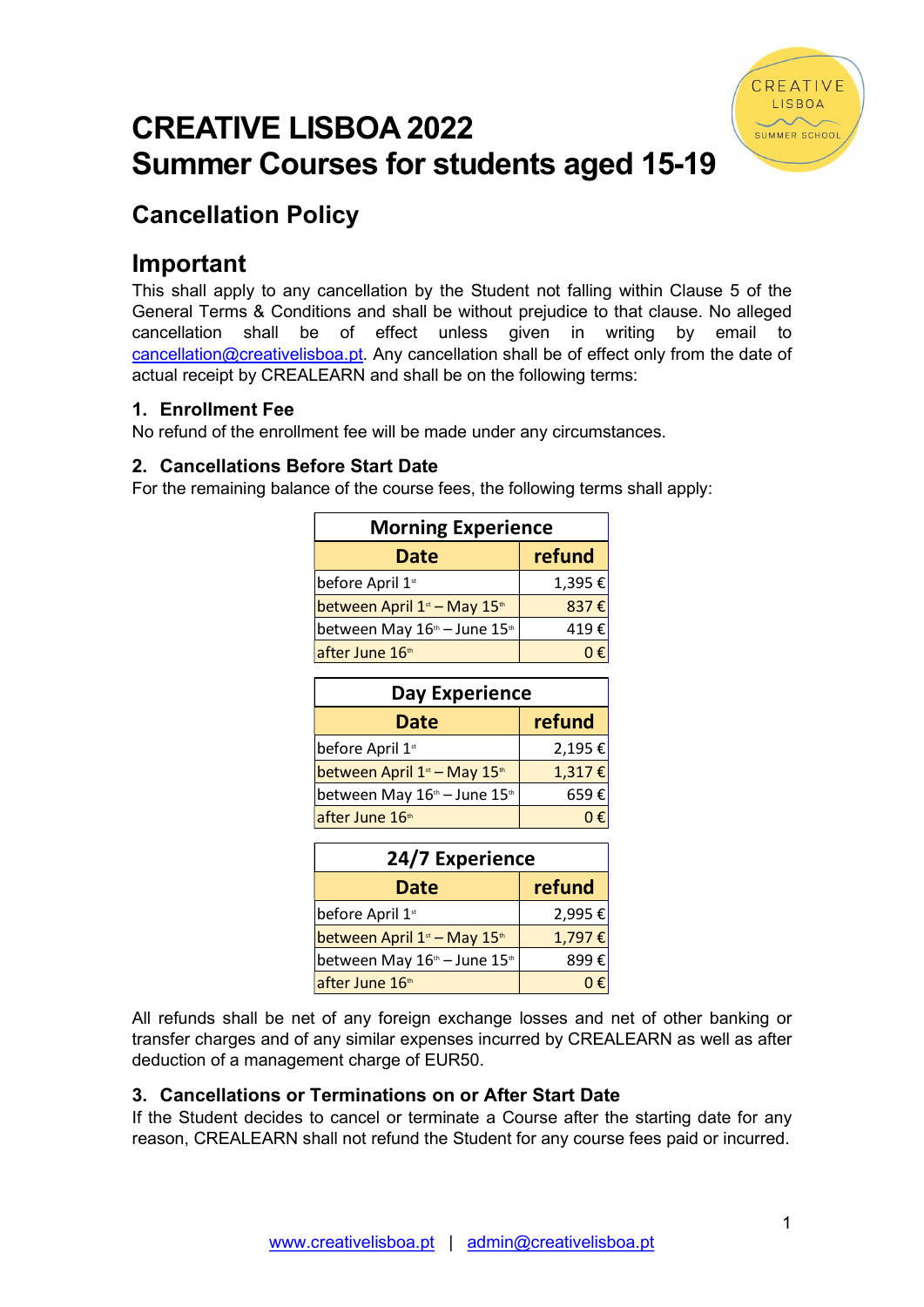# CREATIVE LISBOA 2022 Summer Courses for students aged 15-19



# Cancellation Policy

# Important

This shall apply to any cancellation by the Student not falling within Clause 5 of the General Terms & Conditions and shall be without prejudice to that clause. No alleged cancellation shall be of effect unless given in writing by email to cancellation@creativelisboa.pt. Any cancellation shall be of effect only from the date of actual receipt by CREALEARN and shall be on the following terms: or Studentis agea 15-15<br>
the Student not falling within Clause 5 of the<br>
shall be without prejudice to that clause. No alleged<br>
ect unless given in writing by email to<br>
by cancellation shall be of effect only from the dat

# 1. Enrollment Fee

No refund of the enrollment fee will be made under any circumstances.

# 2. Cancellations Before Start Date

For the remaining balance of the course fees, the following terms shall apply:

| <b>Morning Experience</b>                            |                |
|------------------------------------------------------|----------------|
| <b>Date</b>                                          | refund         |
| before April 1st                                     | 1,395 €        |
| between April $1st$ – May $15th$                     | 837 $\epsilon$ |
| between May $16^{\text{th}}$ – June $15^{\text{th}}$ | 419€           |
| after June 16th                                      | 0€             |

| e oi effect unless given in whiling by email to                    |         |  |  |
|--------------------------------------------------------------------|---------|--|--|
| sboa.pt. Any cancellation shall be of effect only from the date of |         |  |  |
| LEARN and shall be on the following terms:                         |         |  |  |
|                                                                    |         |  |  |
|                                                                    |         |  |  |
| ent fee will be made under any circumstances.                      |         |  |  |
| fore Start Date                                                    |         |  |  |
| ice of the course fees, the following terms shall apply:           |         |  |  |
|                                                                    |         |  |  |
| <b>Morning Experience</b>                                          |         |  |  |
| <b>Date</b>                                                        | refund  |  |  |
| before April 1st                                                   | 1,395€  |  |  |
| between April 1 <sup>st</sup> - May 15 <sup>th</sup>               | 837€    |  |  |
| between May 16th - June 15th                                       | 419€    |  |  |
| after June 16th                                                    | 0€      |  |  |
|                                                                    |         |  |  |
| <b>Day Experience</b>                                              |         |  |  |
| <b>Date</b>                                                        | refund  |  |  |
| before April 1st                                                   | 2,195€  |  |  |
| between April 1 <sup>st</sup> - May 15 <sup>th</sup>               | 1,317€  |  |  |
| between May 16th - June 15th                                       | 659€    |  |  |
| after June 16th                                                    | $0 \in$ |  |  |

| <b>Morning Experience</b>                            |        |
|------------------------------------------------------|--------|
| <b>Date</b>                                          | refund |
| before April 1st                                     | 1,395€ |
| between April 1 <sup>st</sup> - May 15 <sup>th</sup> | 837€   |
| between May 16th - June 15th                         | 419€   |
| after June 16th                                      | 0€     |
| <b>Day Experience</b>                                |        |
| <b>Date</b>                                          | refund |
| before April 1st                                     | 2,195€ |
| between April 1 <sup>st</sup> - May 15 <sup>th</sup> | 1,317€ |
| between May 16th - June 15th                         | 659€   |
| after June 16th                                      | 0€     |
| 24/7 Experience                                      |        |
| <b>Date</b>                                          | refund |
|                                                      |        |
| before April 1st                                     | 2,995€ |
| between April 1 <sup>st</sup> - May 15 <sup>th</sup> | 1,797€ |
| between May 16th - June 15th                         | 899€   |

All refunds shall be net of any foreign exchange losses and net of other banking or transfer charges and of any similar expenses incurred by CREALEARN as well as after deduction of a management charge of EUR50.

# 3. Cancellations or Terminations on or After Start Date

If the Student decides to cancel or terminate a Course after the starting date for any reason, CREALEARN shall not refund the Student for any course fees paid or incurred.